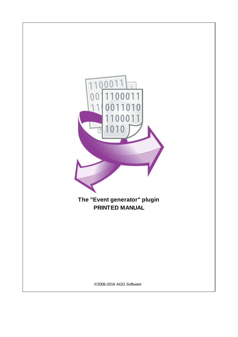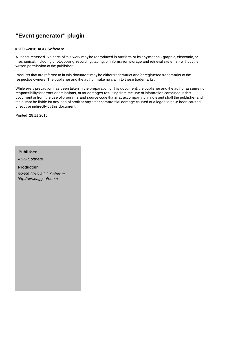# **"Event generator" plugin**

### **©2006-2016 AGG Software**

All rights reserved. No parts of this work may be reproduced in any form or by any means - graphic, electronic, or mechanical, including photocopying, recording, taping, or information storage and retrieval systems - without the written permission of the publisher.

Products that are referred to in this document may be either trademarks and/or registered trademarks of the respective owners. The publisher and the author make no claim to these trademarks.

While every precaution has been taken in the preparation of this document, the publisher and the author assume no responsibility for errors or omissions, or for damages resulting from the use of information contained in this document or from the use of programs and source code that may accompany it. In no event shall the publisher and the author be liable for any loss of profit or any other commercial damage caused or alleged to have been caused directly or indirectly by this document.

Printed: 28.11.2016

**Publisher**

*AGG Software*

**Production** *©2006-2016 AGG Software http://www.aggsoft.com*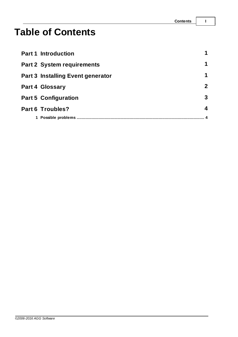# **Table of Contents**

| <b>Part 1 Introduction</b>               |              |
|------------------------------------------|--------------|
| <b>Part 2 System requirements</b>        | 1            |
| <b>Part 3 Installing Event generator</b> | 1            |
| <b>Part 4 Glossary</b>                   | $\mathbf{2}$ |
| <b>Part 5 Configuration</b>              | 3            |
| <b>Part 6 Troubles?</b>                  | 4            |
| 1 Possible problems                      |              |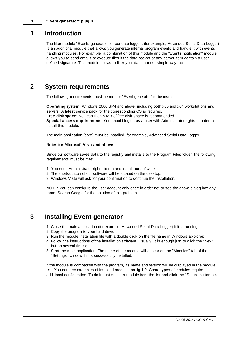### <span id="page-3-0"></span>**1 Introduction**

The filter module "Events generator" for our data loggers (for example, Advanced Serial Data Logger) is an additional module that allows you generate internal program events and handle it with events handling modules. For example, a combination of this module and the "Events notification" module allows you to send emails or execute files if the data packet or any parser item contain a user defined signature. This module allows to filter your data in most simple way too.

### <span id="page-3-1"></span>**2 System requirements**

The following requirements must be met for "Event generator" to be installed:

**Operating system**: Windows 2000 SP4 and above, including both x86 and x64 workstations and servers. A latest service pack for the corresponding OS is required. **Free disk space**: Not less than 5 MB of free disk space is recommended. **Special access requirements**: You should log on as a user with Administrator rights in order to install this module.

The main application (core) must be installed, for example, Advanced Serial Data Logger.

#### **Notes for Microsoft Vista and above**:

Since our software saves data to the registry and installs to the Program Files folder, the following requirements must be met:

- 1. You need Administrator rights to run and install our software
- 2. The shortcut icon of our software will be located on the desktop;
- 3. Windows Vista will ask for your confirmation to continue the installation.

NOTE: You can configure the user account only once in order not to see the above dialog box any more. Search Google for the solution of this problem.

### <span id="page-3-2"></span>**3 Installing Event generator**

- 1. Close the main application (for example, Advanced Serial Data Logger) if it is running;
- 2. Copy the program to your hard drive;
- 3. Run the module installation file with a double click on the file name in Windows Explorer;
- 4. Follow the instructions of the installation software. Usually, it is enough just to click the "Next" button several times;
- 5. Start the main application. The name of the module will appear on the "Modules" tab of the "Settings" window if it is successfully installed.

If the module is compatible with the program, its name and version will be displayed in the module list. You can see examples of installed modules on fig.1-2. Some types of modules require additional configuration. To do it, just select a module from the list and click the "Setup" button next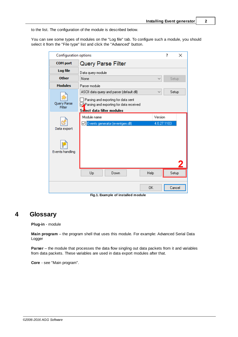to the list. The configuration of the module is described below.

You can see some types of modules on the "Log file" tab. To configure such a module, you should select it from the "File type" list and click the "Advanced" button.

| <b>Configuration options</b> |                                                                                                              |             | 7 | ×      |
|------------------------------|--------------------------------------------------------------------------------------------------------------|-------------|---|--------|
| <b>COM</b> port              | <b>Query Parse Filter</b>                                                                                    |             |   |        |
| Log file                     | Data query module                                                                                            |             |   |        |
| <b>Other</b>                 | None                                                                                                         | ✓           |   | Setup  |
| <b>Modules</b>               | Parser module                                                                                                |             |   |        |
|                              | ASCII data query and parser (default.dll)                                                                    |             |   | Setup  |
| Query Parse<br>Filter        | Parsing and exporting for data sent<br>Parsing and exporting for data received<br>Select data filter modules |             |   |        |
|                              | Module name                                                                                                  | Version     |   |        |
|                              | Events generator (eventgen.dll)<br>✓                                                                         | 4.0.27.1103 |   |        |
| Data export                  |                                                                                                              |             |   |        |
| Events handling              |                                                                                                              |             |   |        |
|                              | Help<br>Up<br>Down                                                                                           |             |   | Setup  |
|                              | 0K                                                                                                           |             |   | Cancel |

**Fig.1. Example of installed module**

## <span id="page-4-0"></span>**4 Glossary**

**Plug-in** - module

**Main program** – the program shell that uses this module. For example: Advanced Serial Data Logger

**Parser** – the module that processes the data flow singling out data packets from it and variables from data packets. These variables are used in data export modules after that.

**Core** - see "Main program".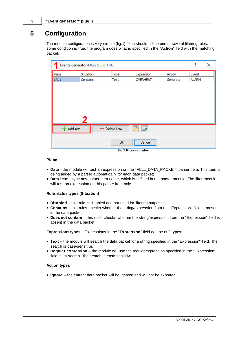# <span id="page-5-0"></span>**5 Configuration**

The module configuration is very simple (fig.1). You should define one or several filtering rules. If some condition is true, the program does what is specified in the "**Action**" field with the matching packet.

| Events generator 4.0.27 build 1103 |           | ?           | ×               |          |              |  |  |  |  |  |
|------------------------------------|-----------|-------------|-----------------|----------|--------------|--|--|--|--|--|
| Place                              | Situation | Type        | Expression      | Action   | Event        |  |  |  |  |  |
| VAL <sub>1</sub>                   | Contains  | Text        | <b>OVERHEAT</b> | Generate | <b>ALARM</b> |  |  |  |  |  |
|                                    |           |             |                 |          |              |  |  |  |  |  |
|                                    |           |             |                 |          |              |  |  |  |  |  |
|                                    |           |             |                 |          |              |  |  |  |  |  |
|                                    |           |             |                 |          |              |  |  |  |  |  |
|                                    |           |             |                 |          |              |  |  |  |  |  |
|                                    |           |             |                 |          |              |  |  |  |  |  |
|                                    |           |             |                 |          |              |  |  |  |  |  |
| ← Add item                         | $\equiv$  | Delete item | اها،<br>P       |          |              |  |  |  |  |  |
|                                    |           |             |                 |          |              |  |  |  |  |  |
| 0K<br>Cancel                       |           |             |                 |          |              |  |  |  |  |  |
| Fig.1 Filtering rules              |           |             |                 |          |              |  |  |  |  |  |

### **Place**

- **Data** the module will test an expression on the "FULL\_DATA\_PACKET" parser item. This item is being added by a parser automatically for each data packet;
- **Data item** type any parser item name, which is defined in the parser module. The filter module will test an expression on this parser item only.

#### **Rule status types (Situation)**

- **Disabled** this rule is disabled and not used for filtering purposes;
- **Contains** this rules checks whether the string/expression from the "Expression" field is present in the data packet;
- **Does not contain** this rules checks whether the string/expression from the "Expression" field is absent in the data packet.

**Expressions types** – Expressions in the "**Expression**" field can be of 2 types:

- **Text** the module will search the data packet for a string specified in the "Expression" field. The search is case-sensitive.
- **Regular expression** the module will use the regular expression specified in the "Expression" field in its search. The search is case-sensitive.

#### **Action types**

**Ignore** – the current data packet will be ignored and will not be exported;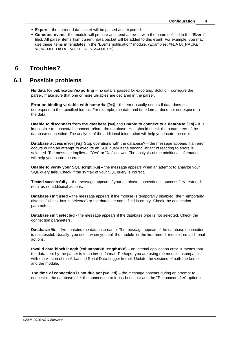- **Export** the current data packet will be parsed and exported.
- **Generate event** the module will prepare and send an event with the name defined in the "**Event**" filed. All parser items from current data packet will be added to this event. For example, you may use these items in templates in the "Events notification" module. (Examples: %DATA\_PACKET %, %FULL\_DATA\_PACKET%, %VALUE1%).

# <span id="page-6-0"></span>**6 Troubles?**

### **6.1 Possible problems**

**No data for publication/exporting** – no data is passed for exporting. Solution: configure the parser, make sure that one or more variables are declared in the parser.

**Error on binding variable with name %s [%s]** – the error usually occurs if data does not correspond to the specified format. For example, the date and time format does not correspond to the data.

**Unable to disconnect from the database [%s]** and **Unable to connect to a database [%s]** – it is impossible to connect/disconnect to/form the database. You should check the parameters of the database connection. The analysis of the additional information will help you locate the error.

**Database access error [%s]**. Stop operations with the database? – the message appears if an error occurs during an attempt to execute an SQL query if the second variant of reacting to errors is selected. The message implies a "Yes" or "No" answer. The analysis of the additional information will help you locate the error.

**Unable to verify your SQL script [%s]** – the message appears when an attempt to analyze your SQL query fails. Check if the syntax of your SQL query is correct.

**Tested successfully** – the message appears if your database connection is successfully tested. It requires no additional actions.

**Database isn't used** – the message appears if the module is temporarily disabled (the "Temporarily disabled" check box is selected) or the database name field is empty. Check the connection parameters.

**Database isn't selected** - the message appears if the database type is not selected. Check the connection parameters.

**Database: %s** – %s contains the database name. The message appears if the database connection is successful. Usually, you see it when you call the module for the first time. It requires no additional actions.

**Invalid data block length (columns=%d,length=%d)** – an internal application error. It means that the data sent by the parser is in an invalid format. Perhaps, you are using the module incompatible with the version of the Advanced Serial Data Logger kernel. Update the versions of both the kernel and the module.

**The time of connection is not due yet (%d,%d)** – the message appears during an attempt to connect to the database after the connection to it has been lost and the "Reconnect after" option is